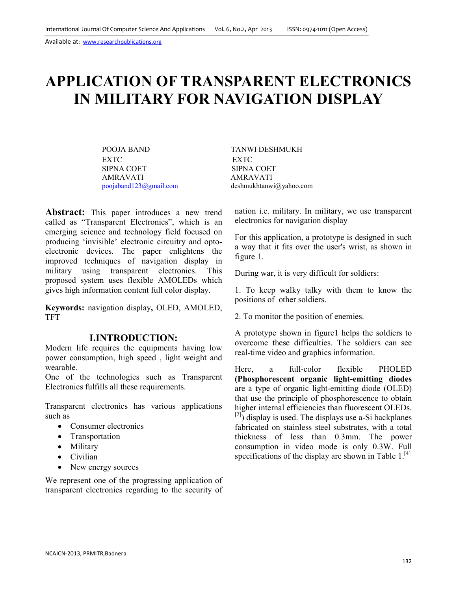# **APPLICATION OF TRANSPARENT ELECTRONICS IN MILITARY FOR NAVIGATION DISPLAY**

POOJA BAND TANWI DESHMUKH EXTC EXTC EXTC EXTC AMRAVATI <br>
poojaband123@gmail.com deshmukhtanw

SIPNA COET deshmukhtanwi@yahoo.com

**Abstract:** This paper introduces a new trend called as "Transparent Electronics", which is an emerging science and technology field focused on producing 'invisible' electronic circuitry and optoelectronic devices. The paper enlightens the improved techniques of navigation display in military using transparent electronics. This proposed system uses flexible AMOLEDs which gives high information content full color display.

**Keywords:** navigation display**,** OLED, AMOLED, TFT

#### **I.INTRODUCTION:**

Modern life requires the equipments having low power consumption, high speed , light weight and wearable.

One of the technologies such as Transparent Electronics fulfills all these requirements.

Transparent electronics has various applications such as

- Consumer electronics
- Transportation
- Military
- Civilian
- New energy sources

We represent one of the progressing application of transparent electronics regarding to the security of nation i.e. military. In military, we use transparent electronics for navigation display

For this application, a prototype is designed in such a way that it fits over the user's wrist, as shown in figure 1.

During war, it is very difficult for soldiers:

1. To keep walky talky with them to know the positions of other soldiers.

2. To monitor the position of enemies.

A prototype shown in figure1 helps the soldiers to overcome these difficulties. The soldiers can see real-time video and graphics information.

Here, a full-color flexible PHOLED **(Phosphorescent organic light-emitting diodes** are a type of organic light-emitting diode (OLED) that use the principle of phosphorescence to obtain higher internal efficiencies than fluorescent OLEDs.  $[2]$ ) display is used. The displays use a-Si backplanes fabricated on stainless steel substrates, with a total thickness of less than 0.3mm. The power consumption in video mode is only 0.3W. Full specifications of the display are shown in Table  $1.^{[4]}$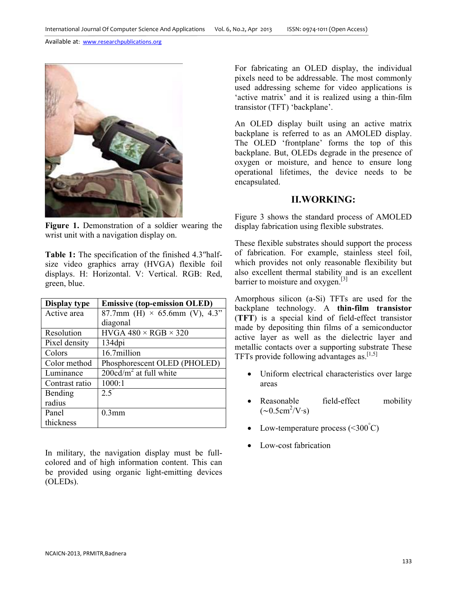Available at: www.researchpublications.org



**Figure 1.** Demonstration of a soldier wearing the wrist unit with a navigation display on.

Table 1: The specification of the finished 4.3″halfsize video graphics array (HVGA) flexible foil displays. H: Horizontal. V: Vertical. RGB: Red, green, blue.

| Display type   | <b>Emissive (top-emission OLED)</b>  |
|----------------|--------------------------------------|
| Active area    | 87.7mm (H) $\times$ 65.6mm (V), 4.3" |
|                | diagonal                             |
| Resolution     | HVGA $480 \times RGB \times 320$     |
| Pixel density  | 134dpi                               |
| Colors         | 16.7million                          |
| Color method   | Phosphorescent OLED (PHOLED)         |
| Luminance      | $200 \text{cd/m}^2$ at full white    |
| Contrast ratio | 1000:1                               |
| Bending        | 2.5                                  |
| radius         |                                      |
| Panel          | $0.3$ mm                             |
| thickness      |                                      |

In military, the navigation display must be fullcolored and of high information content. This can be provided using organic light-emitting devices (OLEDs).

For fabricating an OLED display, the individual pixels need to be addressable. The most commonly used addressing scheme for video applications is 'active matrix' and it is realized using a thin-film transistor (TFT) 'backplane'.

An OLED display built using an active matrix backplane is referred to as an AMOLED display. The OLED 'frontplane' forms the top of this backplane. But, OLEDs degrade in the presence of oxygen or moisture, and hence to ensure long operational lifetimes, the device needs to be encapsulated.

#### **II.WORKING:**

Figure 3 shows the standard process of AMOLED display fabrication using flexible substrates.

These flexible substrates should support the process of fabrication. For example, stainless steel foil, which provides not only reasonable flexibility but also excellent thermal stability and is an excellent barrier to moisture and  $oxygen.$ <sup>[3]</sup>

Amorphous silicon (a-Si) TFTs are used for the backplane technology. A **thin-film transistor** (**TFT**) is a special kind of field-effect transistor made by depositing thin films of a semiconductor active layer as well as the dielectric layer and metallic contacts over a supporting substrate These TFTs provide following advantages as.  $[1,5]$ 

- Uniform electrical characteristics over large areas
- Reasonable field-effect mobility  $(\sim 0.5 \text{cm}^2/\text{V} \cdot \text{s})$
- Low-temperature process  $(<,300^{\circ}$ C)
- Low-cost fabrication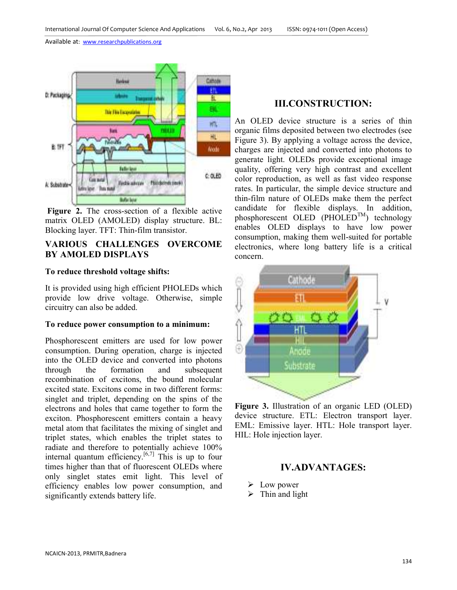Available at: www.researchpublications.org



 **Figure 2.** The cross-section of a flexible active matrix OLED (AMOLED) display structure. BL: Blocking layer. TFT: Thin-film transistor.

## **VARIOUS CHALLENGES OVERCOME BY AMOLED DISPLAYS**

#### **To reduce threshold voltage shifts:**

It is provided using high efficient PHOLEDs which provide low drive voltage. Otherwise, simple circuitry can also be added.

#### **To reduce power consumption to a minimum:**

Phosphorescent emitters are used for low power consumption. During operation, charge is injected into the OLED device and converted into photons through the formation and subsequent recombination of excitons, the bound molecular excited state. Excitons come in two different forms: singlet and triplet, depending on the spins of the electrons and holes that came together to form the exciton. Phosphorescent emitters contain a heavy metal atom that facilitates the mixing of singlet and triplet states, which enables the triplet states to radiate and therefore to potentially achieve 100% internal quantum efficiency.<sup>[6,7]</sup> This is up to four times higher than that of fluorescent OLEDs where only singlet states emit light. This level of efficiency enables low power consumption, and significantly extends battery life.

## **III.CONSTRUCTION:**

An OLED device structure is a series of thin organic films deposited between two electrodes (see Figure 3). By applying a voltage across the device, charges are injected and converted into photons to generate light. OLEDs provide exceptional image quality, offering very high contrast and excellent color reproduction, as well as fast video response rates. In particular, the simple device structure and thin-film nature of OLEDs make them the perfect candidate for flexible displays. In addition, phosphorescent OLED (PHOLED<sup>TM</sup>) technology enables OLED displays to have low power consumption, making them well-suited for portable electronics, where long battery life is a critical concern.



**Figure 3.** Illustration of an organic LED (OLED) device structure. ETL: Electron transport layer. EML: Emissive layer. HTL: Hole transport layer. HIL: Hole injection layer.

## **IV.ADVANTAGES:**

- $\triangleright$  Low power
- $\triangleright$  Thin and light